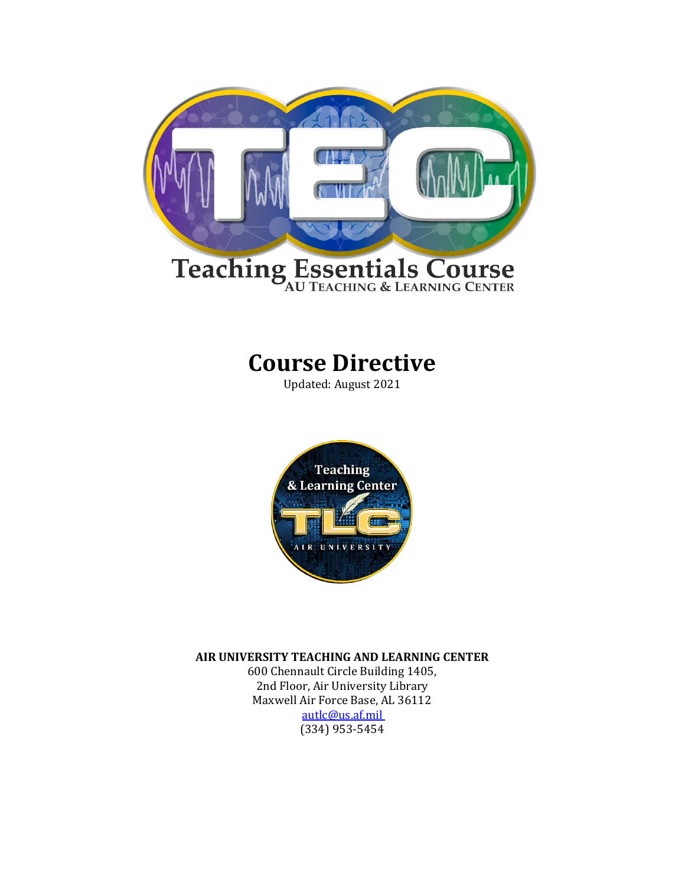

# **Course Directive**

Updated: August 2021



**AIR UNIVERSITY TEACHING AND LEARNING CENTER**

600 Chennault Circle Building 1405, 2nd Floor, Air University Library Maxwell Air Force Base, AL 36112 [autlc@us.af.mil](mailto:autlc@us.af.mil)  (334) 953-5454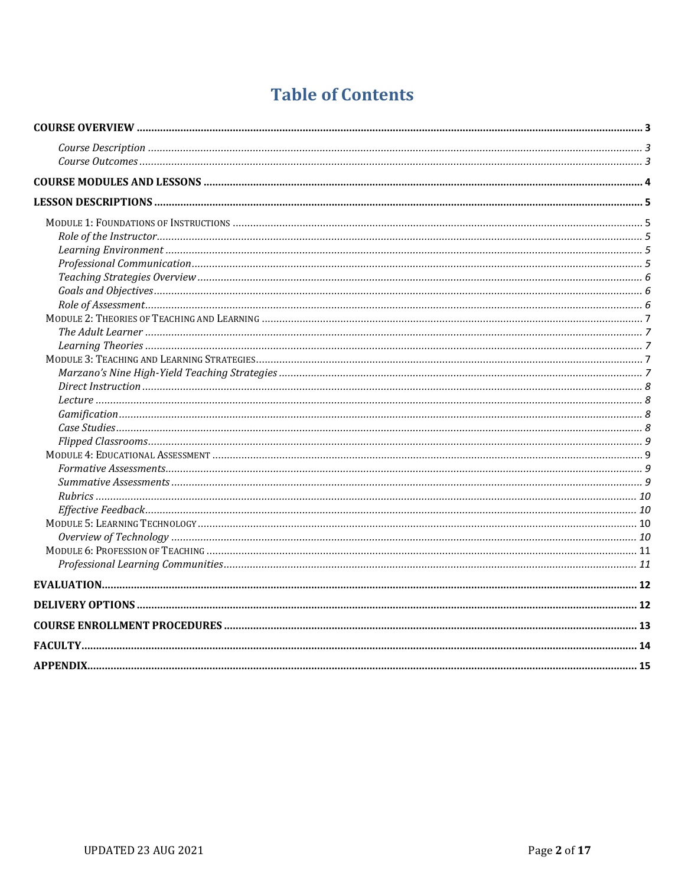# **Table of Contents**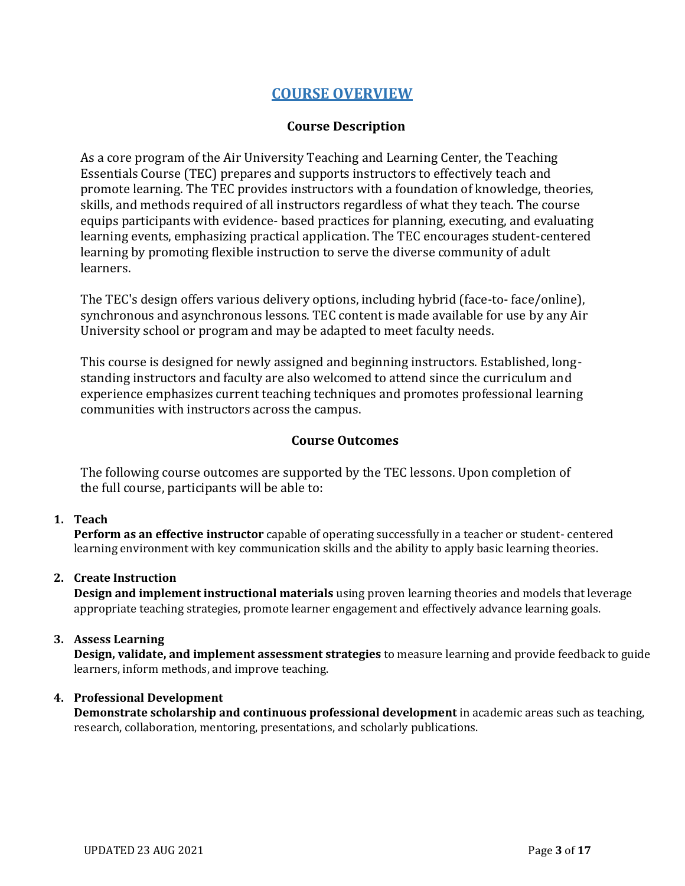# **COURSE OVERVIEW**

## **Course Description**

<span id="page-2-1"></span><span id="page-2-0"></span>As a core program of the Air University Teaching and Learning Center, the Teaching Essentials Course (TEC) prepares and supports instructors to effectively teach and promote learning. The TEC provides instructors with a foundation of knowledge, theories, skills, and methods required of all instructors regardless of what they teach. The course equips participants with evidence- based practices for planning, executing, and evaluating learning events, emphasizing practical application. The TEC encourages student-centered learning by promoting flexible instruction to serve the diverse community of adult learners.

The TEC's design offers various delivery options, including hybrid (face-to- face/online), synchronous and asynchronous lessons. TEC content is made available for use by any Air University school or program and may be adapted to meet faculty needs.

This course is designed for newly assigned and beginning instructors. Established, longstanding instructors and faculty are also welcomed to attend since the curriculum and experience emphasizes current teaching techniques and promotes professional learning communities with instructors across the campus.

#### **Course Outcomes**

<span id="page-2-2"></span>The following course outcomes are supported by the TEC lessons. Upon completion of the full course, participants will be able to:

#### **1. Teach**

**Perform as an effective instructor** capable of operating successfully in a teacher or student- centered learning environment with key communication skills and the ability to apply basic learning theories.

#### **2. Create Instruction**

**Design and implement instructional materials** using proven learning theories and models that leverage appropriate teaching strategies, promote learner engagement and effectively advance learning goals.

#### **3. Assess Learning**

**Design, validate, and implement assessment strategies** to measure learning and provide feedback to guide learners, inform methods, and improve teaching.

#### **4. Professional Development**

**Demonstrate scholarship and continuous professional development** in academic areas such as teaching, research, collaboration, mentoring, presentations, and scholarly publications.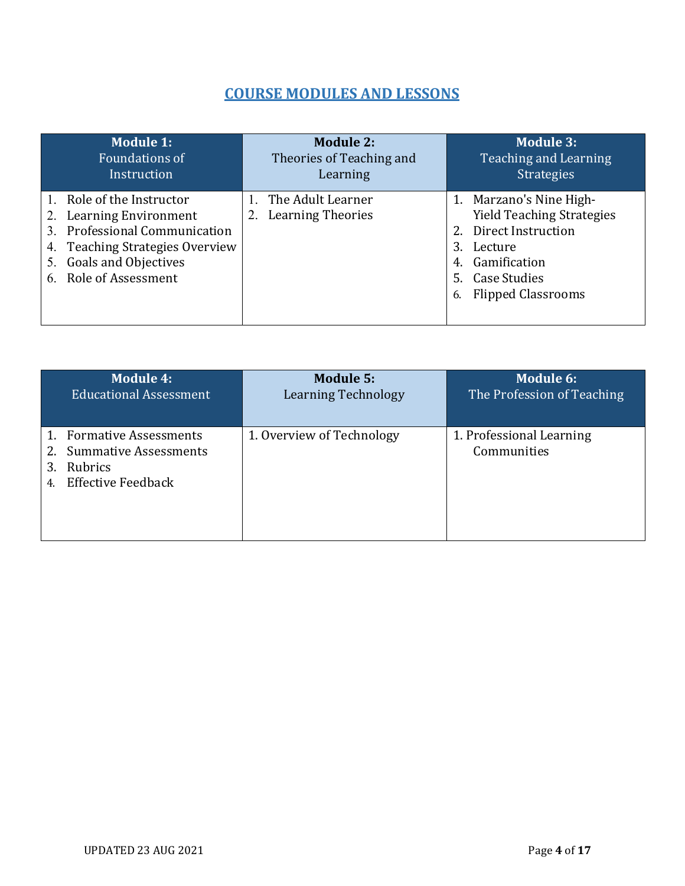# **COURSE MODULES AND LESSONS**

<span id="page-3-0"></span>

| <b>Module 1:</b>                                                                                                                                                                             | <b>Module 2:</b>                                    | <b>Module 3:</b>                                                                                                                                                                  |
|----------------------------------------------------------------------------------------------------------------------------------------------------------------------------------------------|-----------------------------------------------------|-----------------------------------------------------------------------------------------------------------------------------------------------------------------------------------|
| <b>Foundations of</b>                                                                                                                                                                        | Theories of Teaching and                            | <b>Teaching and Learning</b>                                                                                                                                                      |
| Instruction                                                                                                                                                                                  | Learning                                            | <b>Strategies</b>                                                                                                                                                                 |
| 1. Role of the Instructor<br>Learning Environment<br>2.<br><b>Professional Communication</b><br>3.<br>4. Teaching Strategies Overview<br>Goals and Objectives<br>5.<br>6. Role of Assessment | The Adult Learner<br><b>Learning Theories</b><br>2. | 1. Marzano's Nine High-<br><b>Yield Teaching Strategies</b><br>2. Direct Instruction<br>3.<br>Lecture<br>Gamification<br>4.<br>5. Case Studies<br><b>Flipped Classrooms</b><br>6. |

| <b>Module 4:</b>                                                                                       | <b>Module 5:</b>           | Module 6:                               |
|--------------------------------------------------------------------------------------------------------|----------------------------|-----------------------------------------|
| <b>Educational Assessment</b>                                                                          | <b>Learning Technology</b> | The Profession of Teaching              |
| 1. Formative Assessments<br><b>Summative Assessments</b><br>Rubrics<br><b>Effective Feedback</b><br>4. | 1. Overview of Technology  | 1. Professional Learning<br>Communities |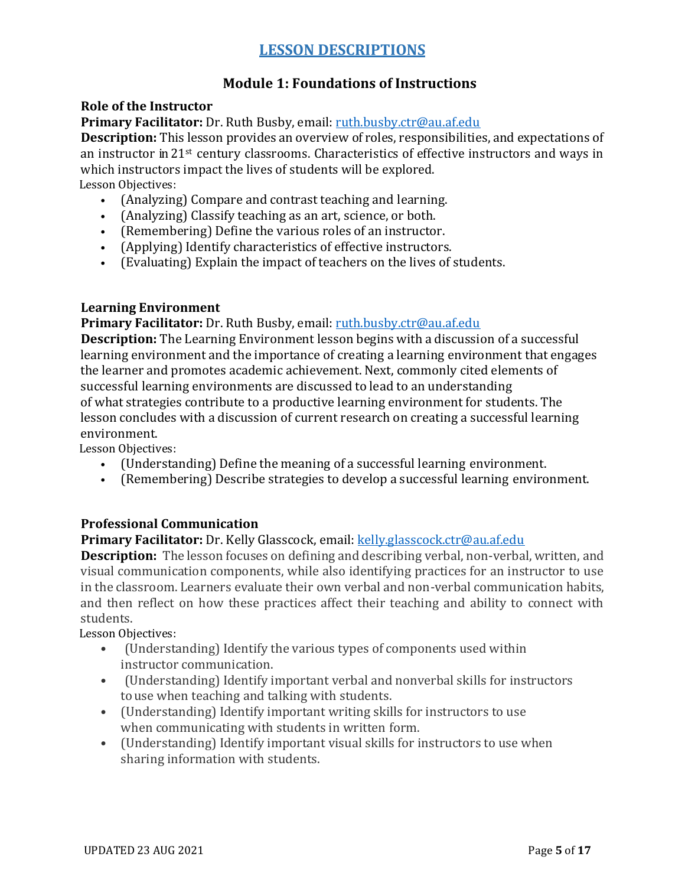# **Module 1: Foundations of Instructions**

## <span id="page-4-2"></span><span id="page-4-1"></span><span id="page-4-0"></span>**Role of the Instructor**

## **Primary Facilitator:** Dr. Ruth Busby, email: [ruth.busby.ctr@au.af.edu](mailto:ruth.busby.ctr@au.af.edu)

**Description:** This lesson provides an overview of roles, responsibilities, and expectations of an instructor in 21st century classrooms. Characteristics of effective instructors and ways in which instructors impact the lives of students will be explored. Lesson Objectives:

- (Analyzing) Compare and contrast teaching and learning.
- (Analyzing) Classify teaching as an art, science, or both.
- (Remembering) Define the various roles of an instructor.
- (Applying) Identify characteristics of effective instructors.
- (Evaluating) Explain the impact of teachers on the lives of students.

## <span id="page-4-3"></span>**Learning Environment**

## **Primary Facilitator:** Dr. Ruth Busby, email: [ruth.busby.ctr@au.af.edu](mailto:ruth.busby.ctr@au.af.edu)

**Description:** The Learning Environment lesson begins with a discussion of a successful learning environment and the importance of creating a learning environment that engages the learner and promotes academic achievement. Next, commonly cited elements of successful learning environments are discussed to lead to an understanding of what strategies contribute to a productive learning environment for students. The lesson concludes with a discussion of current research on creating a successful learning environment.

Lesson Objectives:

- (Understanding) Define the meaning of a successful learning environment.
- (Remembering) Describe strategies to develop a successful learning environment.

## <span id="page-4-4"></span>**Professional Communication**

# **Primary Facilitator:** Dr. Kelly Glasscock, email: [kelly.glasscock.ctr@au.af.edu](mailto:kelly.glasscock.ctr@au.af.edu)

**Description:** The lesson focuses on defining and describing verbal, non-verbal, written, and visual communication components, while also identifying practices for an instructor to use in the classroom. Learners evaluate their own verbal and non-verbal communication habits, and then reflect on how these practices affect their teaching and ability to connect with students.

- (Understanding) Identify the various types of components used within instructor communication.
- (Understanding) Identify important verbal and nonverbal skills for instructors touse when teaching and talking with students.
- (Understanding) Identify important writing skills for instructors to use when communicating with students in written form.
- (Understanding) Identify important visual skills for instructors to use when sharing information with students.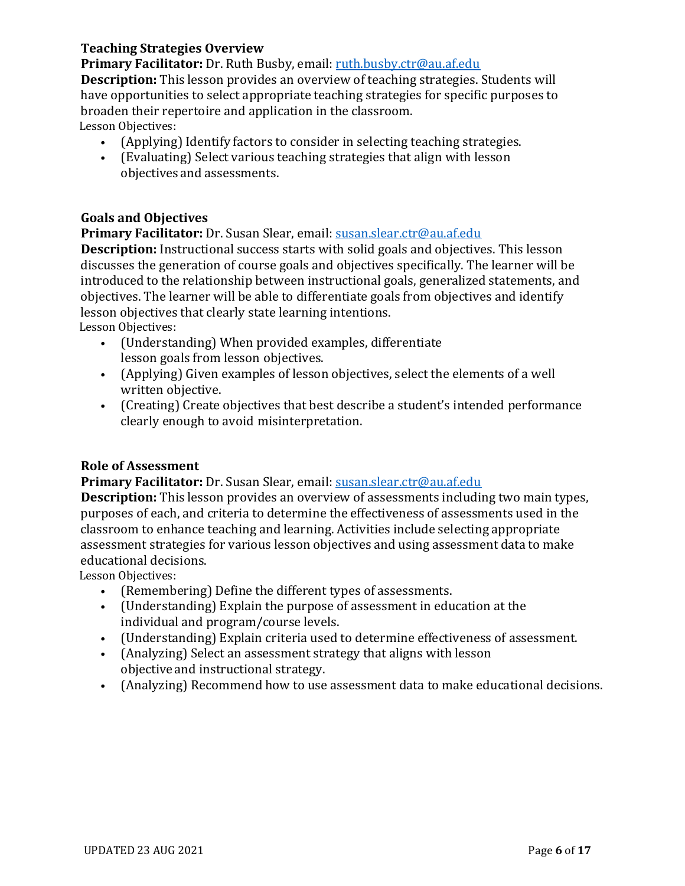## <span id="page-5-0"></span>**Teaching Strategies Overview**

**Primary Facilitator:** Dr. Ruth Busby, email: [ruth.busby.ctr@au.af.edu](mailto:ruth.busby.ctr@au.af.edu)

**Description:** This lesson provides an overview of teaching strategies. Students will have opportunities to select appropriate teaching strategies for specific purposes to broaden their repertoire and application in the classroom.

Lesson Objectives:

- (Applying) Identify factors to consider in selecting teaching strategies.
- (Evaluating) Select various teaching strategies that align with lesson objectives and assessments.

## <span id="page-5-1"></span>**Goals and Objectives**

**Primary Facilitator:** Dr. Susan Slear, email: [susan.slear.ctr@au.af.edu](mailto:susan.slear.ctr@au.af.edu)

**Description:** Instructional success starts with solid goals and objectives. This lesson discusses the generation of course goals and objectives specifically. The learner will be introduced to the relationship between instructional goals, generalized statements, and objectives. The learner will be able to differentiate goals from objectives and identify lesson objectives that clearly state learning intentions.  Lesson Objectives:

- (Understanding) When provided examples, differentiate lesson goals from lesson objectives.
- (Applying) Given examples of lesson objectives, select the elements of a well written objective.
- (Creating) Create objectives that best describe a student's intended performance clearly enough to avoid misinterpretation.

## <span id="page-5-2"></span>**Role of Assessment**

## **Primary Facilitator:** Dr. Susan Slear, email: [susan.slear.ctr@au.af.edu](mailto:susan.slear.ctr@au.af.edu)

**Description:** This lesson provides an overview of assessments including two main types, purposes of each, and criteria to determine the effectiveness of assessments used in the classroom to enhance teaching and learning. Activities include selecting appropriate assessment strategies for various lesson objectives and using assessment data to make educational decisions.

- (Remembering) Define the different types of assessments.
- (Understanding) Explain the purpose of assessment in education at the individual and program/course levels.
- (Understanding) Explain criteria used to determine effectiveness of assessment.
- (Analyzing) Select an assessment strategy that aligns with lesson objective and instructional strategy.
- (Analyzing) Recommend how to use assessment data to make educational decisions.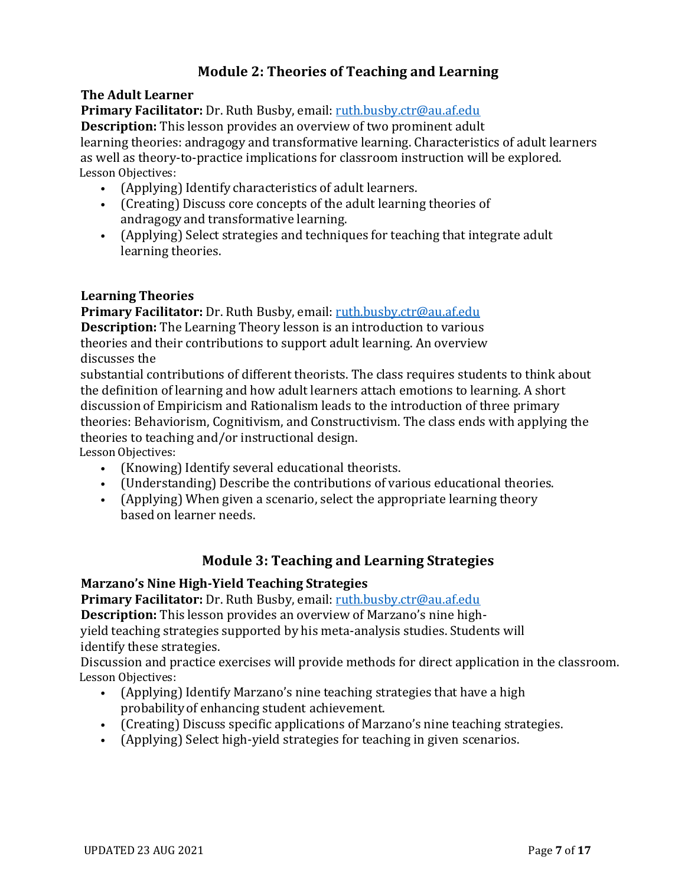# **Module 2: Theories of Teaching and Learning**

## <span id="page-6-1"></span><span id="page-6-0"></span>**The Adult Learner**

Primary Facilitator: Dr. Ruth Busby, email: [ruth.busby.ctr@au.af.edu](mailto:ruth.busby.ctr@au.af.edu)

**Description:** This lesson provides an overview of two prominent adult learning theories: andragogy and transformative learning. Characteristics of adult learners as well as theory-to-practice implications for classroom instruction will be explored. Lesson Objectives:

- (Applying) Identify characteristics of adult learners.
- (Creating) Discuss core concepts of the adult learning theories of andragogy and transformative learning.
- (Applying) Select strategies and techniques for teaching that integrate adult learning theories.

## <span id="page-6-2"></span>**Learning Theories**

**Primary Facilitator:** Dr. Ruth Busby, email: [ruth.busby.ctr@au.af.edu](mailto:ruth.busby.ctr@au.af.edu) **Description:** The Learning Theory lesson is an introduction to various theories and their contributions to support adult learning. An overview discusses the

substantial contributions of different theorists. The class requires students to think about the definition of learning and how adult learners attach emotions to learning. A short discussion of Empiricism and Rationalism leads to the introduction of three primary theories: Behaviorism, Cognitivism, and Constructivism. The class ends with applying the theories to teaching and/or instructional design.

Lesson Objectives:

- (Knowing) Identify several educational theorists.
- (Understanding) Describe the contributions of various educational theories.
- (Applying) When given a scenario, select the appropriate learning theory based on learner needs.

# **Module 3: Teaching and Learning Strategies**

## <span id="page-6-4"></span><span id="page-6-3"></span>**Marzano's Nine High-Yield Teaching Strategies**

**Primary Facilitator:** Dr. Ruth Busby, email: [ruth.busby.ctr@au.af.edu](mailto:ruth.busby.ctr@au.af.edu)

**Description:** This lesson provides an overview of Marzano's nine high-

yield teaching strategies supported by his meta-analysis studies. Students will identify these strategies.

Discussion and practice exercises will provide methods for direct application in the classroom. Lesson Objectives:

- (Applying) Identify Marzano's nine teaching strategies that have a high probabilityof enhancing student achievement.
- (Creating) Discuss specific applications of Marzano's nine teaching strategies.
- (Applying) Select high-yield strategies for teaching in given scenarios.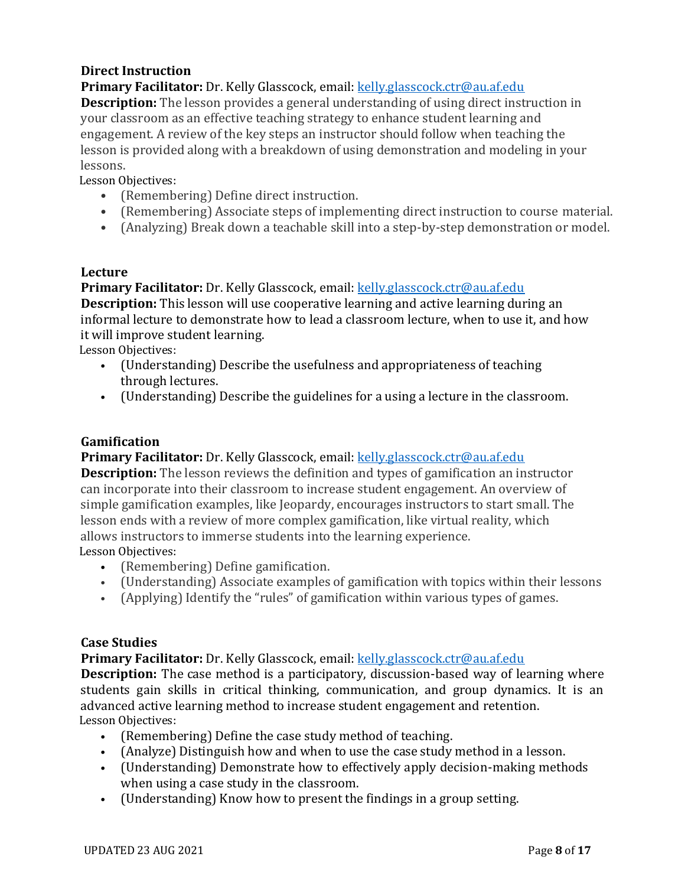# <span id="page-7-0"></span>**Direct Instruction**

**Primary Facilitator:** Dr. Kelly Glasscock, email: [kelly.glasscock.ctr@au.af.edu](mailto:kelly.glasscock.ctr@au.af.edu)

**Description:** The lesson provides a general understanding of using direct instruction in your classroom as an effective teaching strategy to enhance student learning and engagement. A review of the key steps an instructor should follow when teaching the lesson is provided along with a breakdown of using demonstration and modeling in your lessons.

Lesson Objectives:

- (Remembering) Define direct instruction.
- (Remembering) Associate steps of implementing direct instruction to course material.
- (Analyzing) Break down a teachable skill into a step-by-step demonstration or model.

# <span id="page-7-1"></span>**Lecture**

**Primary Facilitator:** Dr. Kelly Glasscock, email: [kelly.glasscock.ctr@au.af.edu](mailto:kelly.glasscock.ctr@au.af.edu) **Description:** This lesson will use cooperative learning and active learning during an informal lecture to demonstrate how to lead a classroom lecture, when to use it, and how it will improve student learning.

Lesson Objectives:

- (Understanding) Describe the usefulness and appropriateness of teaching through lectures.
- (Understanding) Describe the guidelines for a using a lecture in the classroom.

# <span id="page-7-2"></span>**Gamification**

## **Primary Facilitator:** Dr. Kelly Glasscock, email: [kelly.glasscock.ctr@au.af.edu](mailto:kelly.glasscock.ctr@au.af.edu)

**Description:** The lesson reviews the definition and types of gamification an instructor can incorporate into their classroom to increase student engagement. An overview of simple gamification examples, like Jeopardy, encourages instructors to start small. The lesson ends with a review of more complex gamification, like virtual reality, which allows instructors to immerse students into the learning experience. Lesson Objectives:

- (Remembering) Define gamification.
- (Understanding) Associate examples of gamification with topics within their lessons
- (Applying) Identify the "rules" of gamification within various types of games.

# <span id="page-7-3"></span>**Case Studies**

**Primary Facilitator:** Dr. Kelly Glasscock, email: [kelly.glasscock.ctr@au.af.edu](mailto:kelly.glasscock.ctr@au.af.edu)

**Description:** The case method is a participatory, discussion-based way of learning where students gain skills in critical thinking, communication, and group dynamics. It is an advanced active learning method to increase student engagement and retention. Lesson Objectives:

- (Remembering) Define the case study method of teaching.
- (Analyze) Distinguish how and when to use the case study method in a lesson.
- (Understanding) Demonstrate how to effectively apply decision-making methods when using a case study in the classroom.
- (Understanding) Know how to present the findings in a group setting.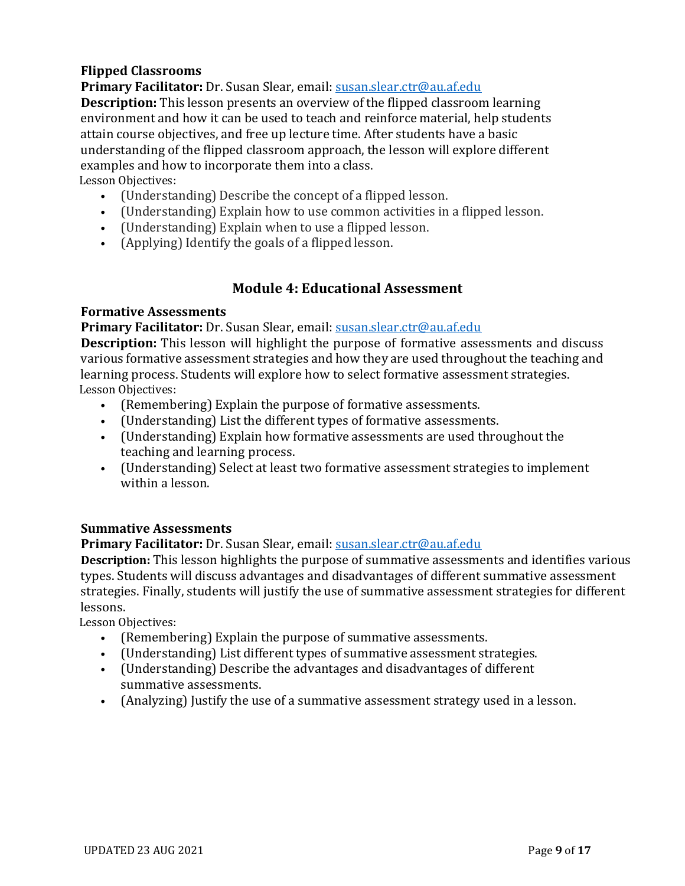# <span id="page-8-0"></span>**Flipped Classrooms**

**Primary Facilitator:** Dr. Susan Slear, email: [susan.slear.ctr@au.af.edu](mailto:susan.slear.ctr@au.af.edu)

**Description:** This lesson presents an overview of the flipped classroom learning environment and how it can be used to teach and reinforce material, help students attain course objectives, and free up lecture time. After students have a basic understanding of the flipped classroom approach, the lesson will explore different examples and how to incorporate them into a class. Lesson Objectives:

- (Understanding) Describe the concept of a flipped lesson.
- (Understanding) Explain how to use common activities in a flipped lesson.
- (Understanding) Explain when to use a flipped lesson.
- (Applying) Identify the goals of a flipped lesson.

# **Module 4: Educational Assessment**

## <span id="page-8-2"></span><span id="page-8-1"></span>**Formative Assessments**

#### **Primary Facilitator:** Dr. Susan Slear, email: [susan.slear.ctr@au.af.edu](mailto:susan.slear.ctr@au.af.edu)

**Description:** This lesson will highlight the purpose of formative assessments and discuss various formative assessment strategies and how they are used throughout the teaching and learning process. Students will explore how to select formative assessment strategies. Lesson Objectives:

- (Remembering) Explain the purpose of formative assessments.
- (Understanding) List the different types of formative assessments.
- (Understanding) Explain how formative assessments are used throughout the teaching and learning process.
- (Understanding) Select at least two formative assessment strategies to implement within a lesson.

## <span id="page-8-3"></span>**Summative Assessments**

## **Primary Facilitator:** Dr. Susan Slear, email: [susan.slear.ctr@au.af.edu](mailto:susan.slear.ctr@au.af.edu)

**Description:** This lesson highlights the purpose of summative assessments and identifies various types. Students will discuss advantages and disadvantages of different summative assessment strategies. Finally, students will justify the use of summative assessment strategies for different lessons.

- (Remembering) Explain the purpose of summative assessments.
- (Understanding) List different types of summative assessment strategies.
- (Understanding) Describe the advantages and disadvantages of different summative assessments.
- (Analyzing) Justify the use of a summative assessment strategy used in a lesson.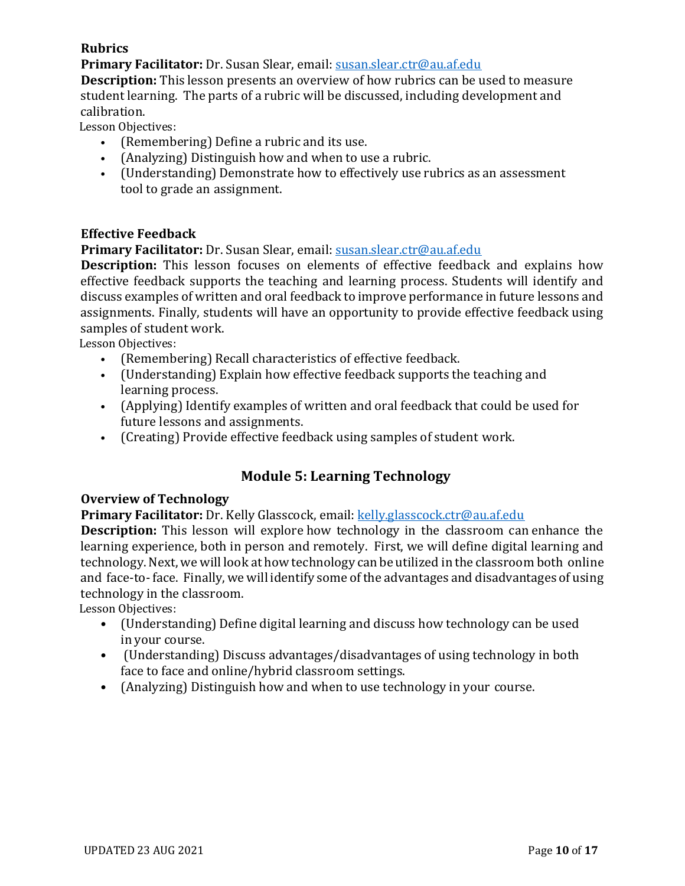# <span id="page-9-0"></span>**Rubrics**

**Primary Facilitator:** Dr. Susan Slear, email: [susan.slear.ctr@au.af.edu](mailto:susan.slear.ctr@au.af.edu)

**Description:** This lesson presents an overview of how rubrics can be used to measure student learning.  The parts of a rubric will be discussed, including development and calibration. 

Lesson Objectives:

- (Remembering) Define a rubric and its use.
- (Analyzing) Distinguish how and when to use a rubric.
- (Understanding) Demonstrate how to effectively use rubrics as an assessment tool to grade an assignment.

## <span id="page-9-1"></span>**Effective Feedback**

**Primary Facilitator:** Dr. Susan Slear, email: [susan.slear.ctr@au.af.edu](mailto:susan.slear.ctr@au.af.edu)

**Description:** This lesson focuses on elements of effective feedback and explains how effective feedback supports the teaching and learning process. Students will identify and discuss examples of written and oral feedback to improve performance in future lessons and assignments. Finally, students will have an opportunity to provide effective feedback using samples of student work.

Lesson Objectives:

- (Remembering) Recall characteristics of effective feedback.
- (Understanding) Explain how effective feedback supports the teaching and learning process.
- (Applying) Identify examples of written and oral feedback that could be used for future lessons and assignments.
- (Creating) Provide effective feedback using samples of student work.

# **Module 5: Learning Technology**

## <span id="page-9-3"></span><span id="page-9-2"></span>**Overview of Technology**

**Primary Facilitator:** Dr. Kelly Glasscock, email: [kelly.glasscock.ctr@au.af.edu](mailto:kelly.glasscock.ctr@au.af.edu)

**Description:** This lesson will explore how technology in the classroom can enhance the learning experience, both in person and remotely.  First, we will define digital learning and technology. Next, we will look at how technology can be utilized in the classroom both online and face-to- face.  Finally, we will identify some of the advantages and disadvantages of using technology in the classroom. 

- (Understanding) Define digital learning and discuss how technology can be used in your course.
- (Understanding) Discuss advantages/disadvantages of using technology in both face to face and online/hybrid classroom settings.
- (Analyzing) Distinguish how and when to use technology in your course.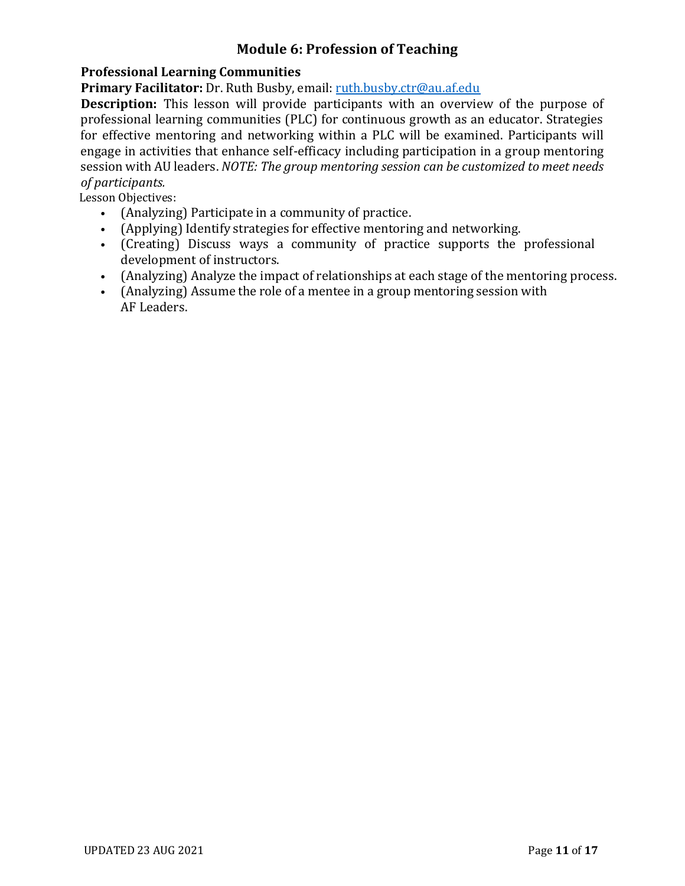# **Module 6: Profession of Teaching**

## <span id="page-10-1"></span><span id="page-10-0"></span>**Professional Learning Communities**

**Primary Facilitator:** Dr. Ruth Busby, email: [ruth.busby.ctr@au.af.edu](mailto:ruth.busby.ctr@au.af.edu)

**Description:** This lesson will provide participants with an overview of the purpose of professional learning communities (PLC) for continuous growth as an educator. Strategies for effective mentoring and networking within a PLC will be examined. Participants will engage in activities that enhance self-efficacy including participation in a group mentoring session with AU leaders. *NOTE: The group mentoring session can be customized to meet needs of participants.*

- (Analyzing) Participate in a community of practice.
- (Applying) Identify strategies for effective mentoring and networking.
- (Creating) Discuss ways a community of practice supports the professional development of instructors.
- (Analyzing) Analyze the impact of relationships at each stage of the mentoring process.
- (Analyzing) Assume the role of a mentee in a group mentoring session with AF Leaders.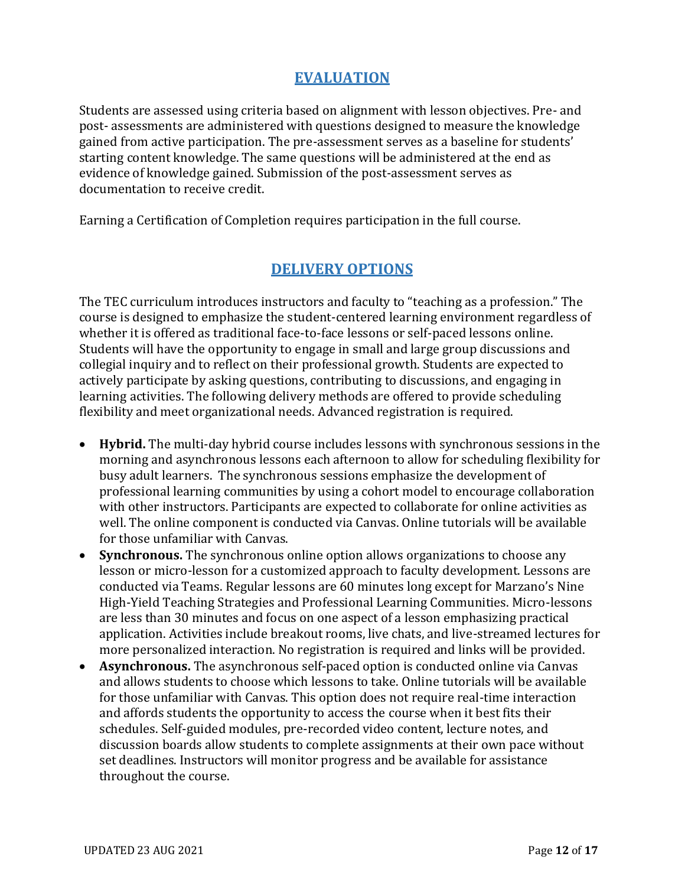# **EVALUATION**

<span id="page-11-0"></span>Students are assessed using criteria based on alignment with lesson objectives. Pre- and post- assessments are administered with questions designed to measure the knowledge gained from active participation. The pre-assessment serves as a baseline for students' starting content knowledge. The same questions will be administered at the end as evidence of knowledge gained. Submission of the post-assessment serves as documentation to receive credit.

Earning a Certification of Completion requires participation in the full course.

# **DELIVERY OPTIONS**

<span id="page-11-1"></span>The TEC curriculum introduces instructors and faculty to "teaching as a profession." The course is designed to emphasize the student-centered learning environment regardless of whether it is offered as traditional face-to-face lessons or self-paced lessons online. Students will have the opportunity to engage in small and large group discussions and collegial inquiry and to reflect on their professional growth. Students are expected to actively participate by asking questions, contributing to discussions, and engaging in learning activities. The following delivery methods are offered to provide scheduling flexibility and meet organizational needs. Advanced registration is required.

- **Hybrid.** The multi-day hybrid course includes lessons with synchronous sessions in the morning and asynchronous lessons each afternoon to allow for scheduling flexibility for busy adult learners. The synchronous sessions emphasize the development of professional learning communities by using a cohort model to encourage collaboration with other instructors. Participants are expected to collaborate for online activities as well. The online component is conducted via Canvas. Online tutorials will be available for those unfamiliar with Canvas.
- **Synchronous.** The synchronous online option allows organizations to choose any lesson or micro-lesson for a customized approach to faculty development. Lessons are conducted via Teams. Regular lessons are 60 minutes long except for Marzano's Nine High-Yield Teaching Strategies and Professional Learning Communities. Micro-lessons are less than 30 minutes and focus on one aspect of a lesson emphasizing practical application. Activities include breakout rooms, live chats, and live-streamed lectures for more personalized interaction. No registration is required and links will be provided.
- **Asynchronous.** The asynchronous self-paced option is conducted online via Canvas and allows students to choose which lessons to take. Online tutorials will be available for those unfamiliar with Canvas. This option does not require real-time interaction and affords students the opportunity to access the course when it best fits their schedules. Self-guided modules, pre-recorded video content, lecture notes, and discussion boards allow students to complete assignments at their own pace without set deadlines. Instructors will monitor progress and be available for assistance throughout the course.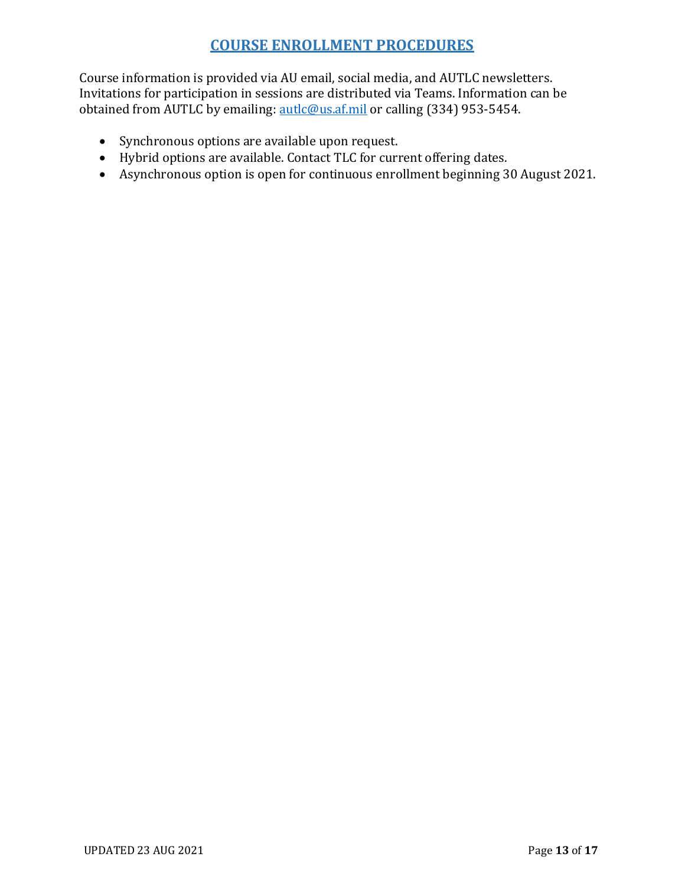# **COURSE ENROLLMENT PROCEDURES**

<span id="page-12-0"></span>Course information is provided via AU email, social media, and AUTLC newsletters. Invitations for participation in sessions are distributed via Teams. Information can be obtained from AUTLC by emailing: [autlc@us.af.mil](mailto:autlc@us.af.mil) or calling (334) 953-5454.

- Synchronous options are available upon request.
- Hybrid options are available. Contact TLC for current offering dates.
- Asynchronous option is open for continuous enrollment beginning 30 August 2021.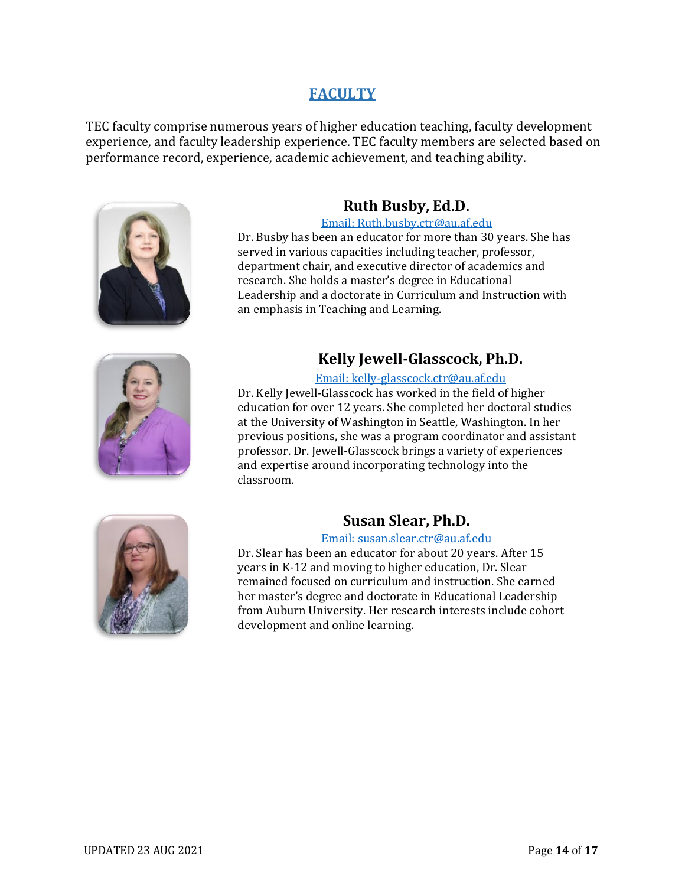# **FACULTY**

<span id="page-13-0"></span>TEC faculty comprise numerous years of higher education teaching, faculty development experience, and faculty leadership experience. TEC faculty members are selected based on performance record, experience, academic achievement, and teaching ability.



# **Ruth Busby, Ed.D.**

#### [Email: Ruth.busby.ctr@au.af.edu](mailto:Ruth.busby.ctr@au.af.edu)

Dr. Busby has been an educator for more than 30 years. She has served in various capacities including teacher, professor, department chair, and executive director of academics and research. She holds a master's degree in Educational Leadership and a doctorate in Curriculum and Instruction with an emphasis in Teaching and Learning.



# **Kelly Jewell-Glasscock, Ph.D.**

#### [Email: kelly-glasscock.ctr@au.af.edu](mailto:kelly-glasscock.ctr@au.af.edu)

Dr. Kelly Jewell-Glasscock has worked in the field of higher education for over 12 years. She completed her doctoral studies at the University of Washington in Seattle, Washington. In her previous positions, she was a program coordinator and assistant professor. Dr. Jewell-Glasscock brings a variety of experiences and expertise around incorporating technology into the classroom.



# **Susan Slear, Ph.D.**

## [Email: susan.slear.ctr@au.af.edu](mailto:susan.slear.ctr@au.af.edu)

Dr. Slear has been an educator for about 20 years. After 15 years in K-12 and moving to higher education, Dr. Slear remained focused on curriculum and instruction. She earned her master's degree and doctorate in Educational Leadership from Auburn University. Her research interests include cohort development and online learning.